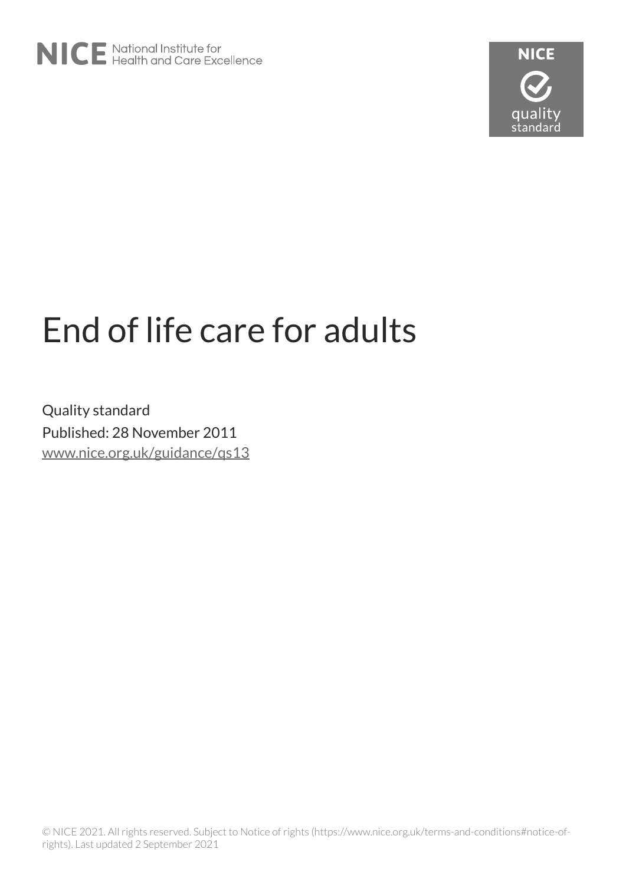

# End of life care for adults

Quality standard Published: 28 November 2011 [www.nice.org.uk/guidance/qs13](https://www.nice.org.uk/guidance/qs13)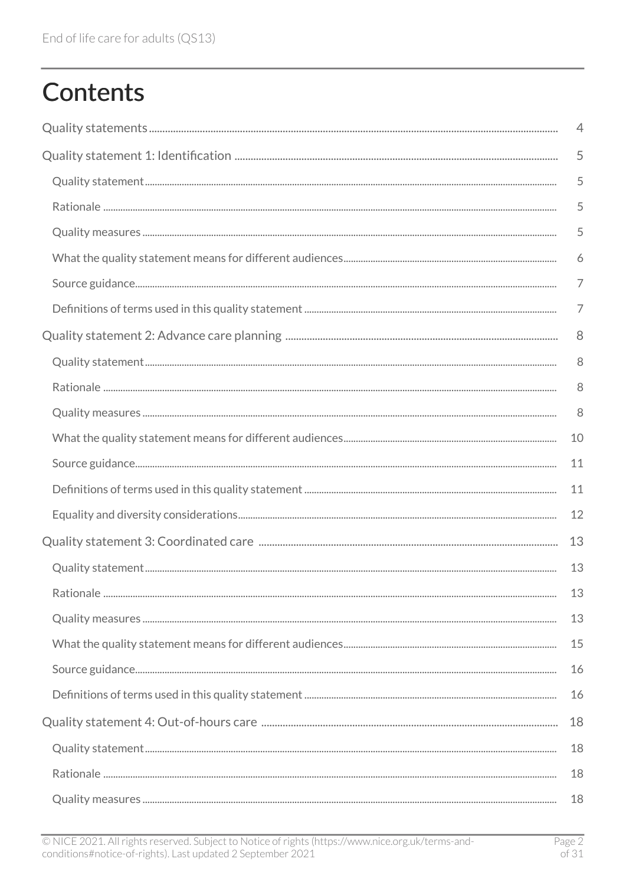# **Contents**

| 4  |
|----|
| 5  |
| 5  |
| 5  |
| 5  |
| 6  |
| 7  |
| 7  |
| 8  |
| 8  |
| 8  |
| 8  |
| 10 |
| 11 |
| 11 |
| 12 |
| 13 |
| 13 |
| 13 |
| 13 |
| 15 |
| 16 |
| 16 |
| 18 |
| 18 |
| 18 |
| 18 |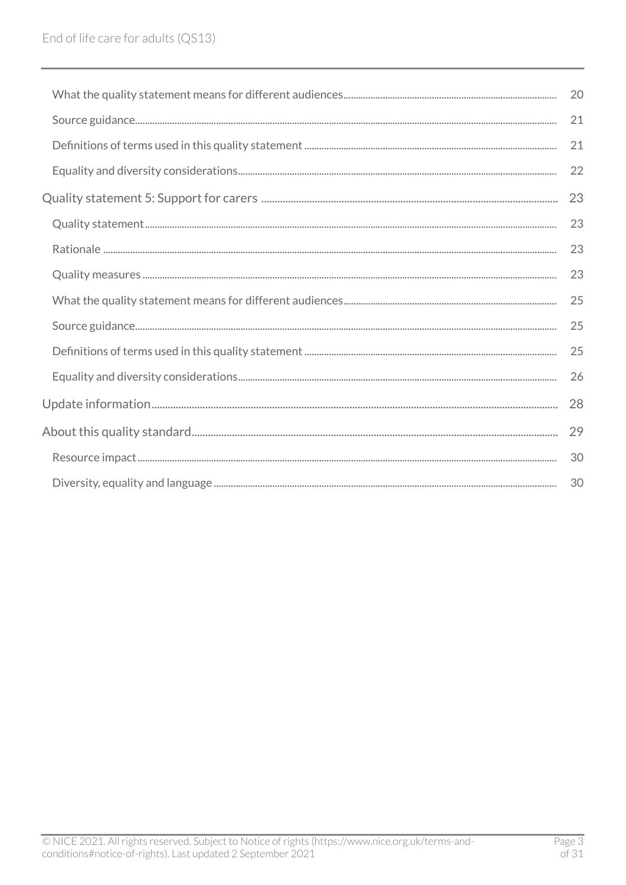| 20 |
|----|
| 21 |
| 21 |
| 22 |
| 23 |
| 23 |
| 23 |
| 23 |
| 25 |
| 25 |
| 25 |
| 26 |
| 28 |
| 29 |
| 30 |
| 30 |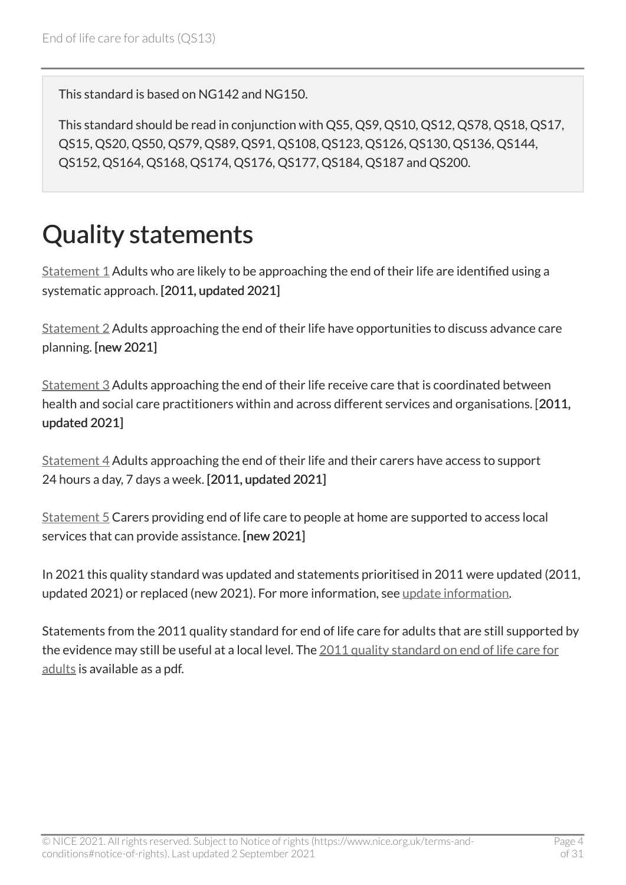This standard is based on NG142 and NG150.

This standard should be read in conjunction with QS5, QS9, QS10, QS12, QS78, QS18, QS17, QS15, QS20, QS50, QS79, QS89, QS91, QS108, QS123, QS126, QS130, QS136, QS144, QS152, QS164, QS168, QS174, QS176, QS177, QS184, QS187 and QS200.

# <span id="page-3-0"></span>Quality statements

[Statement 1](#page-4-0) Adults who are likely to be approaching the end of their life are identified using a systematic approach. [2011, updated 2021]

[Statement 2](#page-7-0) Adults approaching the end of their life have opportunities to discuss advance care planning. [new 2021]

[Statement 3](#page-12-0) Adults approaching the end of their life receive care that is coordinated between health and social care practitioners within and across different services and organisations. [2011, updated 2021]

[Statement 4](#page-17-0) Adults approaching the end of their life and their carers have access to support 24 hours a day, 7 days a week. [2011, updated 2021]

[Statement 5](#page-22-0) Carers providing end of life care to people at home are supported to access local services that can provide assistance. [new 2021]

In 2021 this quality standard was updated and statements prioritised in 2011 were updated (2011, updated 2021) or replaced (new 2021). For more information, see [update information](#page-27-0).

Statements from the 2011 quality standard for end of life care for adults that are still supported by the evidence may still be useful at a local level. The 2011 quality standard on end of life care for [adults](http://www.nice.org.uk/guidance/qs13/documents) is available as a pdf.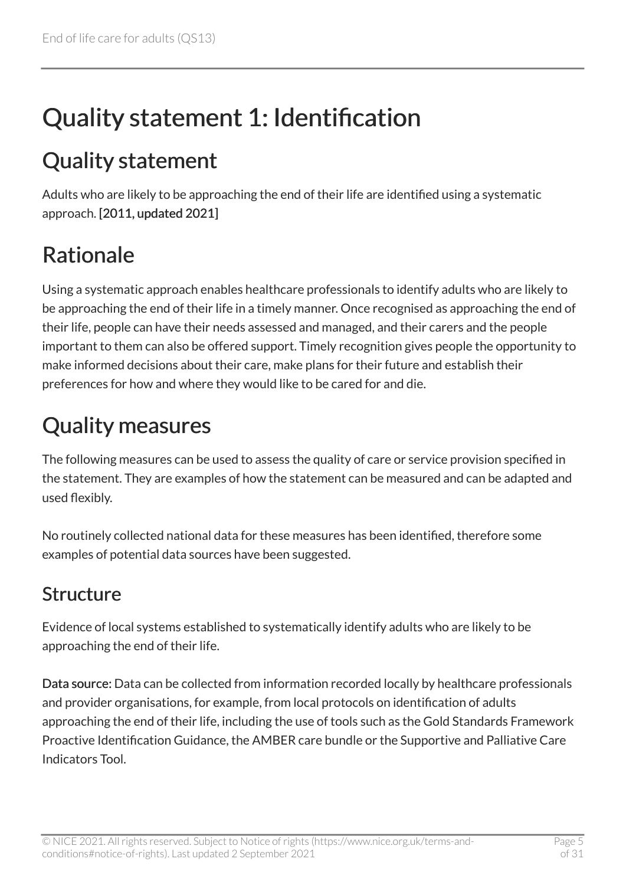# <span id="page-4-0"></span>Quality statement 1: Identification

### <span id="page-4-1"></span>Quality statement

Adults who are likely to be approaching the end of their life are identified using a systematic approach. [2011, updated 2021]

### <span id="page-4-2"></span>Rationale

Using a systematic approach enables healthcare professionals to identify adults who are likely to be approaching the end of their life in a timely manner. Once recognised as approaching the end of their life, people can have their needs assessed and managed, and their carers and the people important to them can also be offered support. Timely recognition gives people the opportunity to make informed decisions about their care, make plans for their future and establish their preferences for how and where they would like to be cared for and die.

### <span id="page-4-3"></span>Quality measures

The following measures can be used to assess the quality of care or service provision specified in the statement. They are examples of how the statement can be measured and can be adapted and used flexibly.

No routinely collected national data for these measures has been identified, therefore some examples of potential data sources have been suggested.

#### Structure

Evidence of local systems established to systematically identify adults who are likely to be approaching the end of their life.

Data source: Data can be collected from information recorded locally by healthcare professionals and provider organisations, for example, from local protocols on identification of adults approaching the end of their life, including the use of tools such as the Gold Standards Framework Proactive Identification Guidance, the AMBER care bundle or the Supportive and Palliative Care Indicators Tool.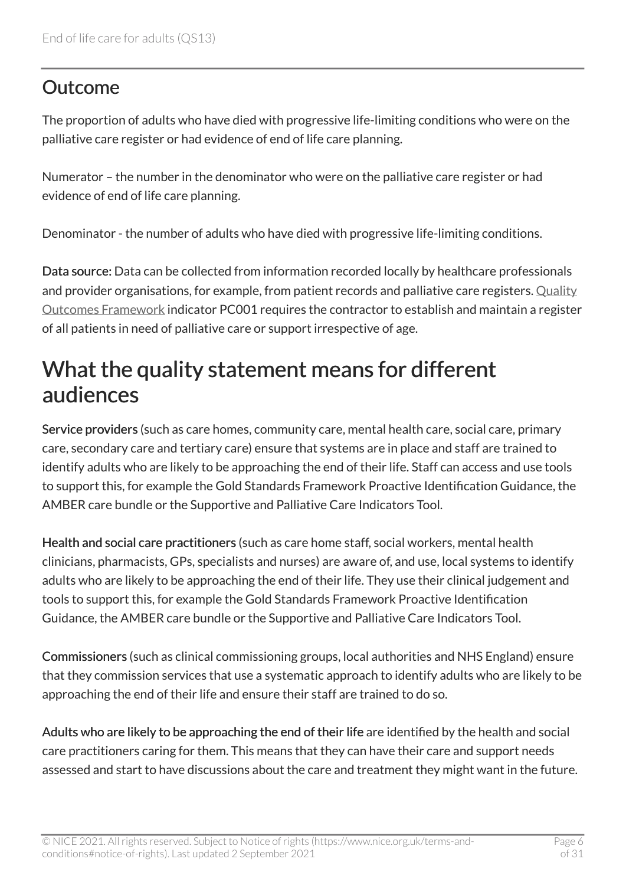#### **Outcome**

The proportion of adults who have died with progressive life-limiting conditions who were on the palliative care register or had evidence of end of life care planning.

Numerator – the number in the denominator who were on the palliative care register or had evidence of end of life care planning.

Denominator - the number of adults who have died with progressive life-limiting conditions.

Data source: Data can be collected from information recorded locally by healthcare professionals and provider organisations, for example, from patient records and palliative care registers. [Quality](https://digital.nhs.uk/data-and-information/data-collections-and-data-sets/data-collections/quality-and-outcomes-framework-qof) [Outcomes Framework](https://digital.nhs.uk/data-and-information/data-collections-and-data-sets/data-collections/quality-and-outcomes-framework-qof) indicator PC001 requires the contractor to establish and maintain a register of all patients in need of palliative care or support irrespective of age.

#### <span id="page-5-0"></span>What the quality statement means for different audiences

Service providers (such as care homes, community care, mental health care, social care, primary care, secondary care and tertiary care) ensure that systems are in place and staff are trained to identify adults who are likely to be approaching the end of their life. Staff can access and use tools to support this, for example the Gold Standards Framework Proactive Identification Guidance, the AMBER care bundle or the Supportive and Palliative Care Indicators Tool.

Health and social care practitioners (such as care home staff, social workers, mental health clinicians, pharmacists, GPs, specialists and nurses) are aware of, and use, local systems to identify adults who are likely to be approaching the end of their life. They use their clinical judgement and tools to support this, for example the Gold Standards Framework Proactive Identification Guidance, the AMBER care bundle or the Supportive and Palliative Care Indicators Tool.

Commissioners (such as clinical commissioning groups, local authorities and NHS England) ensure that they commission services that use a systematic approach to identify adults who are likely to be approaching the end of their life and ensure their staff are trained to do so.

Adults who are likely to be approaching the end of their life are identified by the health and social care practitioners caring for them. This means that they can have their care and support needs assessed and start to have discussions about the care and treatment they might want in the future.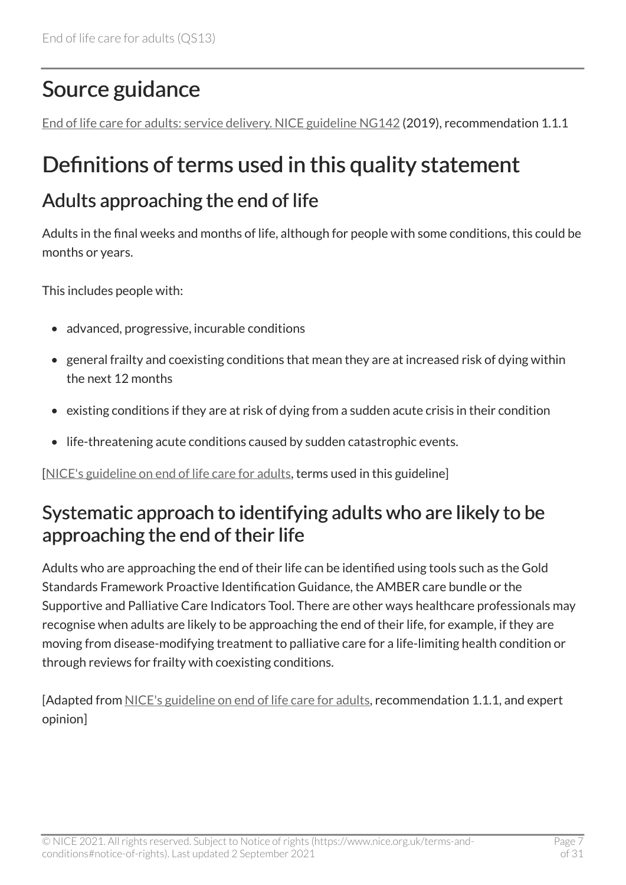### <span id="page-6-0"></span>Source guidance

[End of life care for adults: service delivery. NICE guideline NG142](https://www.nice.org.uk/guidance/ng142) (2019), recommendation 1.1.1

### <span id="page-6-1"></span>Definitions of terms used in this quality statement

#### Adults approaching the end of life

Adults in the final weeks and months of life, although for people with some conditions, this could be months or years.

This includes people with:

- advanced, progressive, incurable conditions
- general frailty and coexisting conditions that mean they are at increased risk of dying within the next 12 months
- existing conditions if they are at risk of dying from a sudden acute crisis in their condition
- life-threatening acute conditions caused by sudden catastrophic events.

[[NICE's guideline on end of life care for adults,](https://www.nice.org.uk/guidance/ng142) terms used in this guideline]

#### Systematic approach to identifying adults who are likely to be approaching the end of their life

Adults who are approaching the end of their life can be identified using tools such as the Gold Standards Framework Proactive Identification Guidance, the AMBER care bundle or the Supportive and Palliative Care Indicators Tool. There are other ways healthcare professionals may recognise when adults are likely to be approaching the end of their life, for example, if they are moving from disease-modifying treatment to palliative care for a life-limiting health condition or through reviews for frailty with coexisting conditions.

[Adapted from [NICE's guideline on end of life care for adults,](https://www.nice.org.uk/guidance/ng142) recommendation 1.1.1, and expert opinion]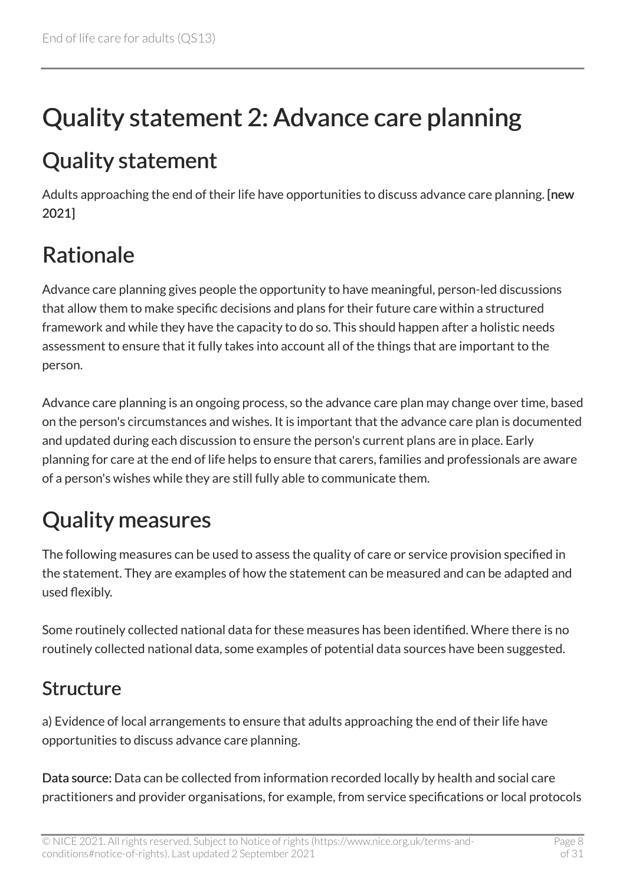# <span id="page-7-0"></span>Quality statement 2: Advance care planning

### <span id="page-7-1"></span>Quality statement

Adults approaching the end of their life have opportunities to discuss advance care planning. [new 2021]

## <span id="page-7-2"></span>Rationale

Advance care planning gives people the opportunity to have meaningful, person-led discussions that allow them to make specific decisions and plans for their future care within a structured framework and while they have the capacity to do so. This should happen after a holistic needs assessment to ensure that it fully takes into account all of the things that are important to the person.

Advance care planning is an ongoing process, so the advance care plan may change over time, based on the person's circumstances and wishes. It is important that the advance care plan is documented and updated during each discussion to ensure the person's current plans are in place. Early planning for care at the end of life helps to ensure that carers, families and professionals are aware of a person's wishes while they are still fully able to communicate them.

### <span id="page-7-3"></span>Quality measures

The following measures can be used to assess the quality of care or service provision specified in the statement. They are examples of how the statement can be measured and can be adapted and used flexibly.

Some routinely collected national data for these measures has been identified. Where there is no routinely collected national data, some examples of potential data sources have been suggested.

#### Structure

a) Evidence of local arrangements to ensure that adults approaching the end of their life have opportunities to discuss advance care planning.

Data source: Data can be collected from information recorded locally by health and social care practitioners and provider organisations, for example, from service specifications or local protocols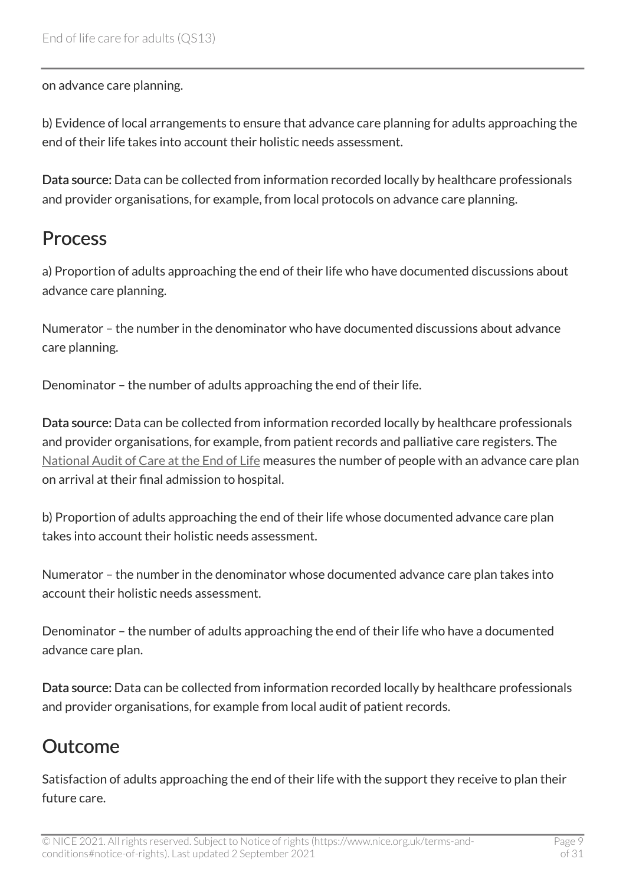on advance care planning.

b) Evidence of local arrangements to ensure that advance care planning for adults approaching the end of their life takes into account their holistic needs assessment.

Data source: Data can be collected from information recorded locally by healthcare professionals and provider organisations, for example, from local protocols on advance care planning.

#### Process

a) Proportion of adults approaching the end of their life who have documented discussions about advance care planning.

Numerator – the number in the denominator who have documented discussions about advance care planning.

Denominator – the number of adults approaching the end of their life.

Data source: Data can be collected from information recorded locally by healthcare professionals and provider organisations, for example, from patient records and palliative care registers. The [National Audit of Care at the End of Life](https://www.nhsbenchmarking.nhs.uk/nacel) measures the number of people with an advance care plan on arrival at their final admission to hospital.

b) Proportion of adults approaching the end of their life whose documented advance care plan takes into account their holistic needs assessment.

Numerator – the number in the denominator whose documented advance care plan takes into account their holistic needs assessment.

Denominator – the number of adults approaching the end of their life who have a documented advance care plan.

Data source: Data can be collected from information recorded locally by healthcare professionals and provider organisations, for example from local audit of patient records.

#### Outcome

Satisfaction of adults approaching the end of their life with the support they receive to plan their future care.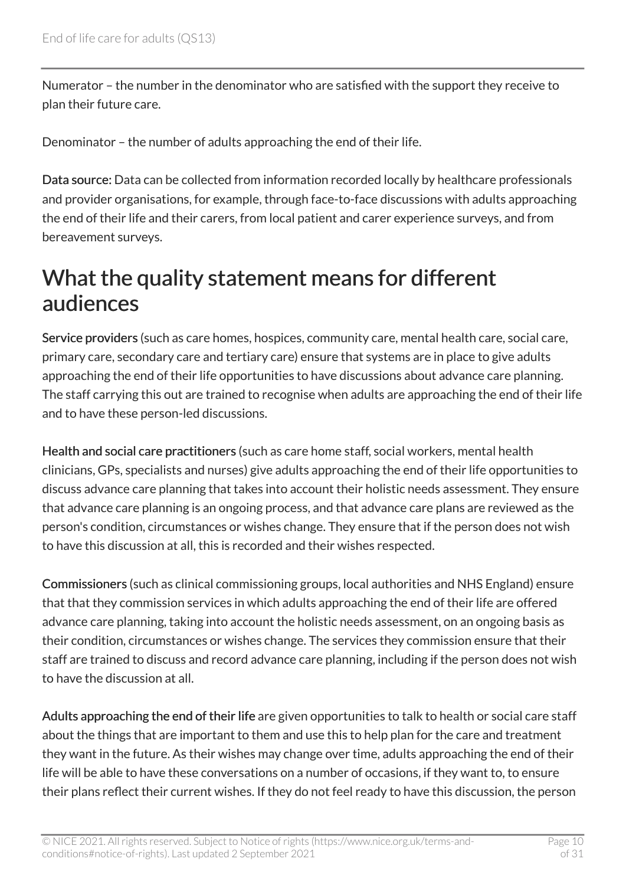Numerator – the number in the denominator who are satisfied with the support they receive to plan their future care.

Denominator – the number of adults approaching the end of their life.

Data source: Data can be collected from information recorded locally by healthcare professionals and provider organisations, for example, through face-to-face discussions with adults approaching the end of their life and their carers, from local patient and carer experience surveys, and from bereavement surveys.

### <span id="page-9-0"></span>What the quality statement means for different audiences

Service providers (such as care homes, hospices, community care, mental health care, social care, primary care, secondary care and tertiary care) ensure that systems are in place to give adults approaching the end of their life opportunities to have discussions about advance care planning. The staff carrying this out are trained to recognise when adults are approaching the end of their life and to have these person-led discussions.

Health and social care practitioners (such as care home staff, social workers, mental health clinicians, GPs, specialists and nurses) give adults approaching the end of their life opportunities to discuss advance care planning that takes into account their holistic needs assessment. They ensure that advance care planning is an ongoing process, and that advance care plans are reviewed as the person's condition, circumstances or wishes change. They ensure that if the person does not wish to have this discussion at all, this is recorded and their wishes respected.

Commissioners (such as clinical commissioning groups, local authorities and NHS England) ensure that that they commission services in which adults approaching the end of their life are offered advance care planning, taking into account the holistic needs assessment, on an ongoing basis as their condition, circumstances or wishes change. The services they commission ensure that their staff are trained to discuss and record advance care planning, including if the person does not wish to have the discussion at all.

Adults approaching the end of their life are given opportunities to talk to health or social care staff about the things that are important to them and use this to help plan for the care and treatment they want in the future. As their wishes may change over time, adults approaching the end of their life will be able to have these conversations on a number of occasions, if they want to, to ensure their plans reflect their current wishes. If they do not feel ready to have this discussion, the person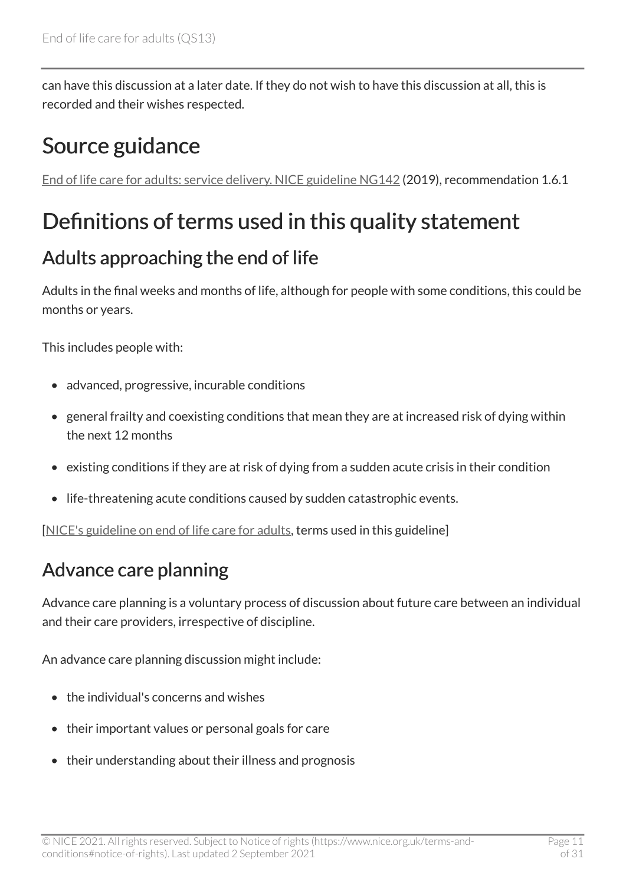can have this discussion at a later date. If they do not wish to have this discussion at all, this is recorded and their wishes respected.

### <span id="page-10-0"></span>Source guidance

[End of life care for adults: service delivery. NICE guideline NG142](https://www.nice.org.uk/guidance/ng142) (2019), recommendation 1.6.1

### <span id="page-10-1"></span>Definitions of terms used in this quality statement

#### Adults approaching the end of life

Adults in the final weeks and months of life, although for people with some conditions, this could be months or years.

This includes people with:

- advanced, progressive, incurable conditions
- general frailty and coexisting conditions that mean they are at increased risk of dying within the next 12 months
- existing conditions if they are at risk of dying from a sudden acute crisis in their condition
- life-threatening acute conditions caused by sudden catastrophic events.

[[NICE's guideline on end of life care for adults,](https://www.nice.org.uk/guidance/ng142) terms used in this guideline]

#### Advance care planning

Advance care planning is a voluntary process of discussion about future care between an individual and their care providers, irrespective of discipline.

An advance care planning discussion might include:

- the individual's concerns and wishes
- their important values or personal goals for care
- their understanding about their illness and prognosis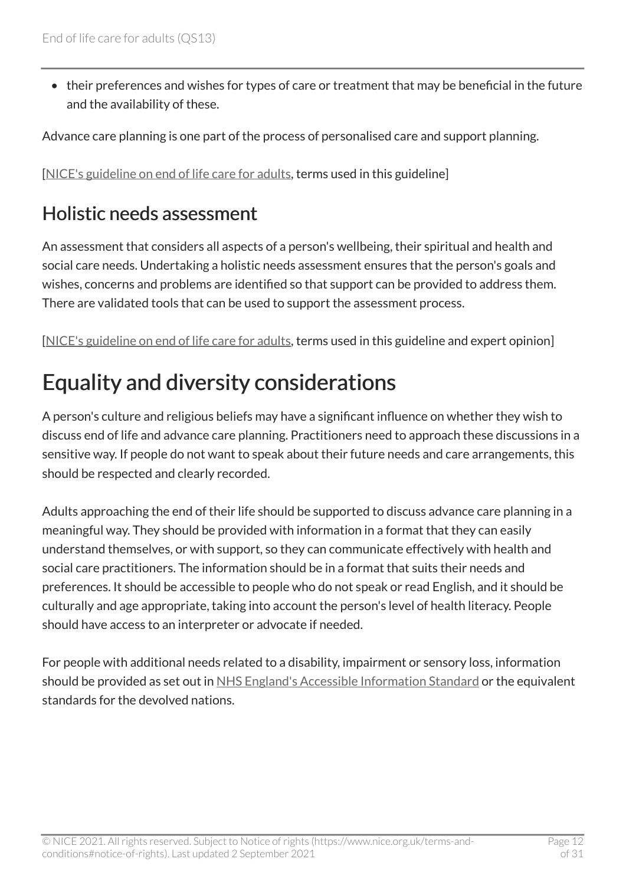• their preferences and wishes for types of care or treatment that may be beneficial in the future and the availability of these.

Advance care planning is one part of the process of personalised care and support planning.

[[NICE's guideline on end of life care for adults,](https://www.nice.org.uk/guidance/ng142) terms used in this guideline]

#### Holistic needs assessment

An assessment that considers all aspects of a person's wellbeing, their spiritual and health and social care needs. Undertaking a holistic needs assessment ensures that the person's goals and wishes, concerns and problems are identified so that support can be provided to address them. There are validated tools that can be used to support the assessment process.

[[NICE's guideline on end of life care for adults,](https://www.nice.org.uk/guidance/ng142) terms used in this guideline and expert opinion]

### <span id="page-11-0"></span>Equality and diversity considerations

A person's culture and religious beliefs may have a significant influence on whether they wish to discuss end of life and advance care planning. Practitioners need to approach these discussions in a sensitive way. If people do not want to speak about their future needs and care arrangements, this should be respected and clearly recorded.

Adults approaching the end of their life should be supported to discuss advance care planning in a meaningful way. They should be provided with information in a format that they can easily understand themselves, or with support, so they can communicate effectively with health and social care practitioners. The information should be in a format that suits their needs and preferences. It should be accessible to people who do not speak or read English, and it should be culturally and age appropriate, taking into account the person's level of health literacy. People should have access to an interpreter or advocate if needed.

For people with additional needs related to a disability, impairment or sensory loss, information should be provided as set out in [NHS England's Accessible Information Standard](https://www.england.nhs.uk/ourwork/accessibleinfo/) or the equivalent standards for the devolved nations.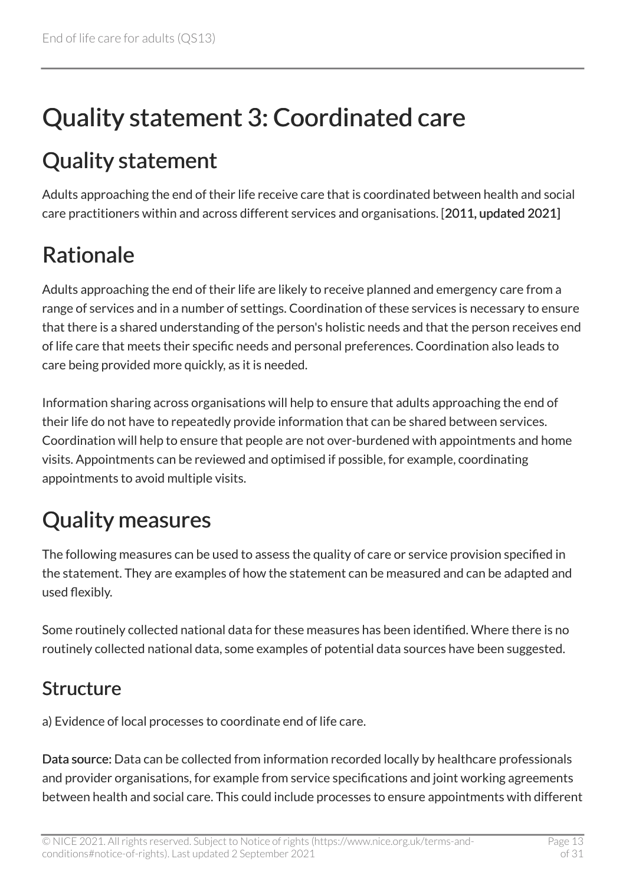# <span id="page-12-0"></span>Quality statement 3: Coordinated care

### <span id="page-12-1"></span>Quality statement

Adults approaching the end of their life receive care that is coordinated between health and social care practitioners within and across different services and organisations. [2011, updated 2021]

### <span id="page-12-2"></span>Rationale

Adults approaching the end of their life are likely to receive planned and emergency care from a range of services and in a number of settings. Coordination of these services is necessary to ensure that there is a shared understanding of the person's holistic needs and that the person receives end of life care that meets their specific needs and personal preferences. Coordination also leads to care being provided more quickly, as it is needed.

Information sharing across organisations will help to ensure that adults approaching the end of their life do not have to repeatedly provide information that can be shared between services. Coordination will help to ensure that people are not over-burdened with appointments and home visits. Appointments can be reviewed and optimised if possible, for example, coordinating appointments to avoid multiple visits.

### <span id="page-12-3"></span>Quality measures

The following measures can be used to assess the quality of care or service provision specified in the statement. They are examples of how the statement can be measured and can be adapted and used flexibly.

Some routinely collected national data for these measures has been identified. Where there is no routinely collected national data, some examples of potential data sources have been suggested.

#### Structure

a) Evidence of local processes to coordinate end of life care.

Data source: Data can be collected from information recorded locally by healthcare professionals and provider organisations, for example from service specifications and joint working agreements between health and social care. This could include processes to ensure appointments with different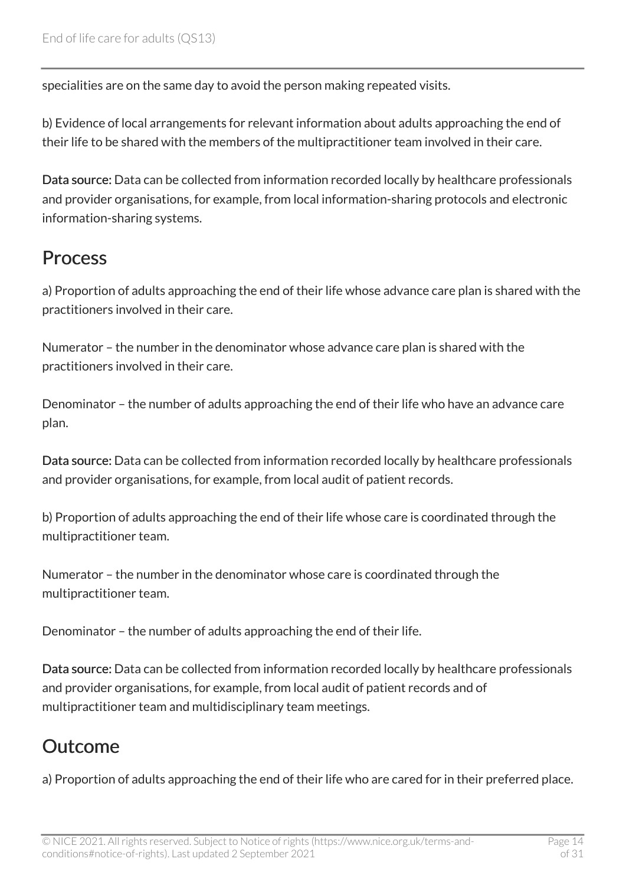specialities are on the same day to avoid the person making repeated visits.

b) Evidence of local arrangements for relevant information about adults approaching the end of their life to be shared with the members of the multipractitioner team involved in their care.

Data source: Data can be collected from information recorded locally by healthcare professionals and provider organisations, for example, from local information-sharing protocols and electronic information-sharing systems.

#### Process

a) Proportion of adults approaching the end of their life whose advance care plan is shared with the practitioners involved in their care.

Numerator – the number in the denominator whose advance care plan is shared with the practitioners involved in their care.

Denominator – the number of adults approaching the end of their life who have an advance care plan.

Data source: Data can be collected from information recorded locally by healthcare professionals and provider organisations, for example, from local audit of patient records.

b) Proportion of adults approaching the end of their life whose care is coordinated through the multipractitioner team.

Numerator – the number in the denominator whose care is coordinated through the multipractitioner team.

Denominator – the number of adults approaching the end of their life.

Data source: Data can be collected from information recorded locally by healthcare professionals and provider organisations, for example, from local audit of patient records and of multipractitioner team and multidisciplinary team meetings.

#### Outcome

a) Proportion of adults approaching the end of their life who are cared for in their preferred place.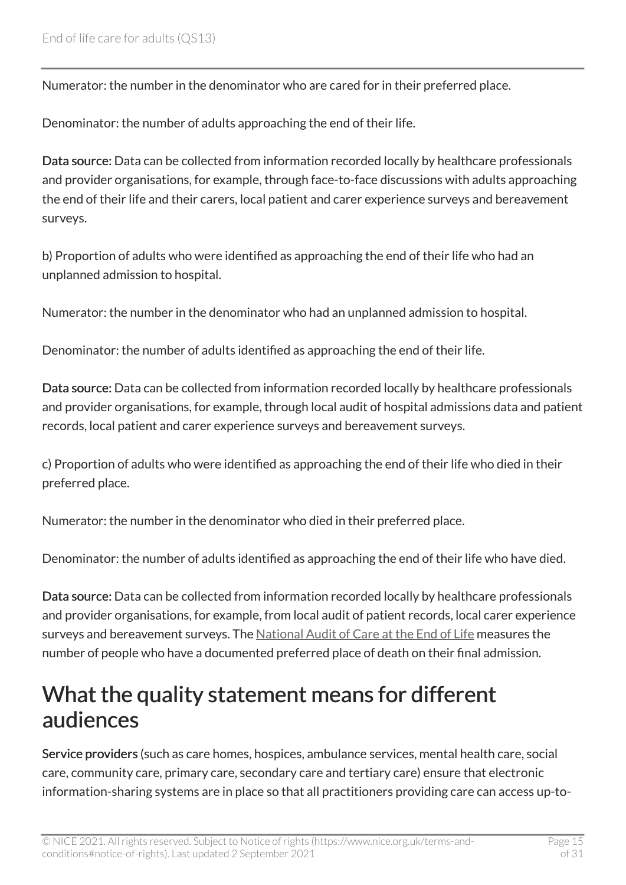Numerator: the number in the denominator who are cared for in their preferred place.

Denominator: the number of adults approaching the end of their life.

Data source: Data can be collected from information recorded locally by healthcare professionals and provider organisations, for example, through face-to-face discussions with adults approaching the end of their life and their carers, local patient and carer experience surveys and bereavement surveys.

b) Proportion of adults who were identified as approaching the end of their life who had an unplanned admission to hospital.

Numerator: the number in the denominator who had an unplanned admission to hospital.

Denominator: the number of adults identified as approaching the end of their life.

Data source: Data can be collected from information recorded locally by healthcare professionals and provider organisations, for example, through local audit of hospital admissions data and patient records, local patient and carer experience surveys and bereavement surveys.

c) Proportion of adults who were identified as approaching the end of their life who died in their preferred place.

Numerator: the number in the denominator who died in their preferred place.

Denominator: the number of adults identified as approaching the end of their life who have died.

Data source: Data can be collected from information recorded locally by healthcare professionals and provider organisations, for example, from local audit of patient records, local carer experience surveys and bereavement surveys. The [National Audit of Care at the End of Life](https://www.nhsbenchmarking.nhs.uk/nacel) measures the number of people who have a documented preferred place of death on their final admission.

#### <span id="page-14-0"></span>What the quality statement means for different audiences

Service providers (such as care homes, hospices, ambulance services, mental health care, social care, community care, primary care, secondary care and tertiary care) ensure that electronic information-sharing systems are in place so that all practitioners providing care can access up-to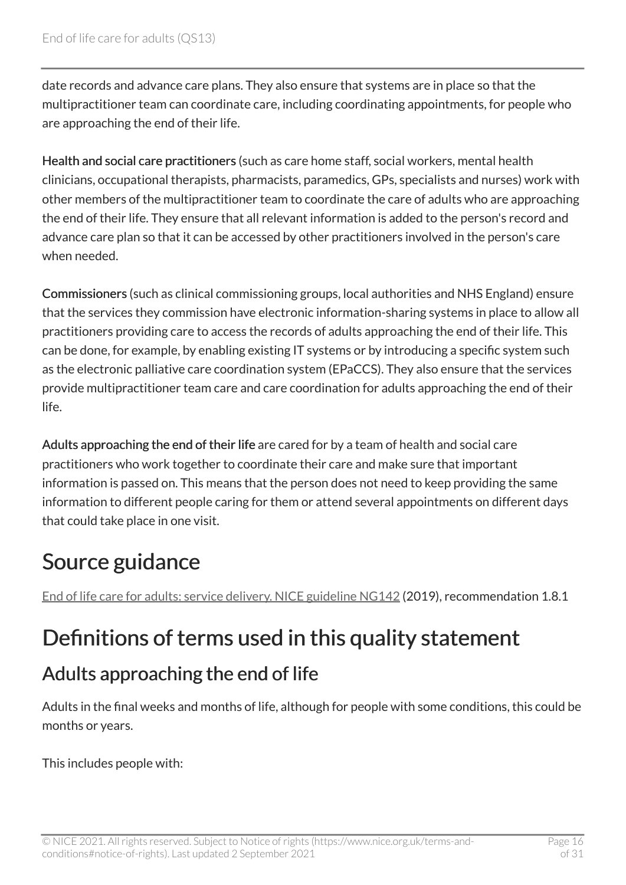date records and advance care plans. They also ensure that systems are in place so that the multipractitioner team can coordinate care, including coordinating appointments, for people who are approaching the end of their life.

Health and social care practitioners (such as care home staff, social workers, mental health clinicians, occupational therapists, pharmacists, paramedics, GPs, specialists and nurses) work with other members of the multipractitioner team to coordinate the care of adults who are approaching the end of their life. They ensure that all relevant information is added to the person's record and advance care plan so that it can be accessed by other practitioners involved in the person's care when needed.

Commissioners (such as clinical commissioning groups, local authorities and NHS England) ensure that the services they commission have electronic information-sharing systems in place to allow all practitioners providing care to access the records of adults approaching the end of their life. This can be done, for example, by enabling existing IT systems or by introducing a specific system such as the electronic palliative care coordination system (EPaCCS). They also ensure that the services provide multipractitioner team care and care coordination for adults approaching the end of their life.

Adults approaching the end of their life are cared for by a team of health and social care practitioners who work together to coordinate their care and make sure that important information is passed on. This means that the person does not need to keep providing the same information to different people caring for them or attend several appointments on different days that could take place in one visit.

### <span id="page-15-0"></span>Source guidance

[End of life care for adults: service delivery. NICE guideline NG142](https://www.nice.org.uk/guidance/ng142) (2019), recommendation 1.8.1

### <span id="page-15-1"></span>Definitions of terms used in this quality statement

#### Adults approaching the end of life

Adults in the final weeks and months of life, although for people with some conditions, this could be months or years.

This includes people with: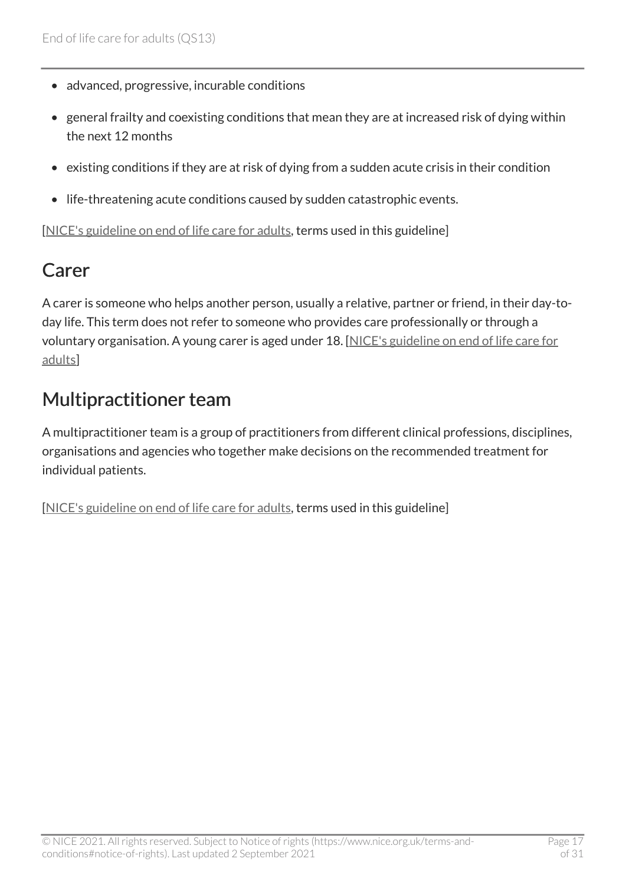- advanced, progressive, incurable conditions
- general frailty and coexisting conditions that mean they are at increased risk of dying within the next 12 months
- existing conditions if they are at risk of dying from a sudden acute crisis in their condition
- life-threatening acute conditions caused by sudden catastrophic events.

[[NICE's guideline on end of life care for adults,](https://www.nice.org.uk/guidance/ng142) terms used in this guideline]

#### Carer

A carer is someone who helps another person, usually a relative, partner or friend, in their day-today life. This term does not refer to someone who provides care professionally or through a voluntary organisation. A young carer is aged under 18. [\[NICE's guideline on end of life care for](https://www.nice.org.uk/guidance/ng142) [adults](https://www.nice.org.uk/guidance/ng142)]

#### Multipractitioner team

A multipractitioner team is a group of practitioners from different clinical professions, disciplines, organisations and agencies who together make decisions on the recommended treatment for individual patients.

[[NICE's guideline on end of life care for adults,](https://www.nice.org.uk/guidance/ng142) terms used in this guideline]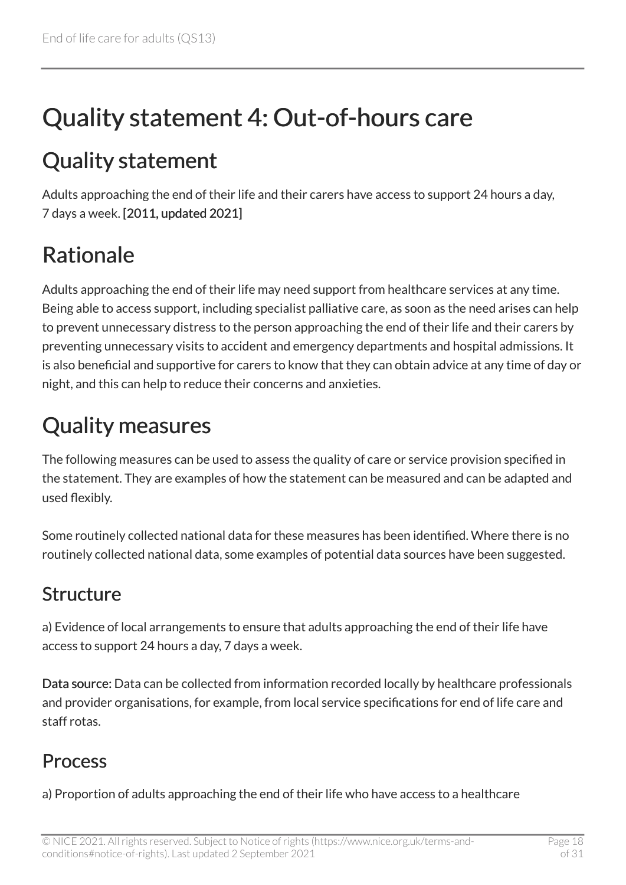# <span id="page-17-0"></span>Quality statement 4: Out-of-hours care

### <span id="page-17-1"></span>Quality statement

Adults approaching the end of their life and their carers have access to support 24 hours a day, 7 days a week. [2011, updated 2021]

### <span id="page-17-2"></span>Rationale

Adults approaching the end of their life may need support from healthcare services at any time. Being able to access support, including specialist palliative care, as soon as the need arises can help to prevent unnecessary distress to the person approaching the end of their life and their carers by preventing unnecessary visits to accident and emergency departments and hospital admissions. It is also beneficial and supportive for carers to know that they can obtain advice at any time of day or night, and this can help to reduce their concerns and anxieties.

### <span id="page-17-3"></span>Quality measures

The following measures can be used to assess the quality of care or service provision specified in the statement. They are examples of how the statement can be measured and can be adapted and used flexibly.

Some routinely collected national data for these measures has been identified. Where there is no routinely collected national data, some examples of potential data sources have been suggested.

#### Structure

a) Evidence of local arrangements to ensure that adults approaching the end of their life have access to support 24 hours a day, 7 days a week.

Data source: Data can be collected from information recorded locally by healthcare professionals and provider organisations, for example, from local service specifications for end of life care and staff rotas.

#### Process

a) Proportion of adults approaching the end of their life who have access to a healthcare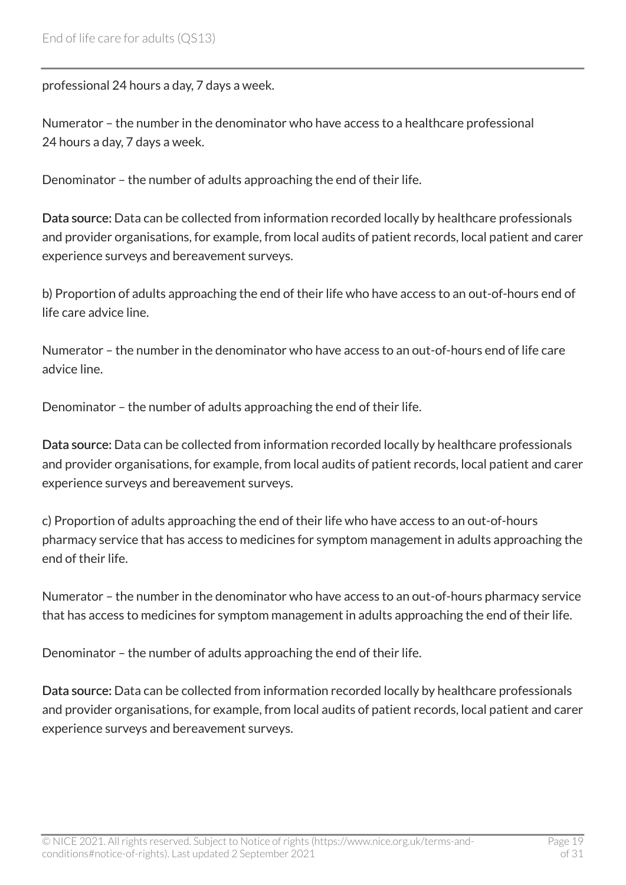professional 24 hours a day, 7 days a week.

Numerator – the number in the denominator who have access to a healthcare professional 24 hours a day, 7 days a week.

Denominator – the number of adults approaching the end of their life.

Data source: Data can be collected from information recorded locally by healthcare professionals and provider organisations, for example, from local audits of patient records, local patient and carer experience surveys and bereavement surveys.

b) Proportion of adults approaching the end of their life who have access to an out-of-hours end of life care advice line.

Numerator – the number in the denominator who have access to an out-of-hours end of life care advice line.

Denominator – the number of adults approaching the end of their life.

Data source: Data can be collected from information recorded locally by healthcare professionals and provider organisations, for example, from local audits of patient records, local patient and carer experience surveys and bereavement surveys.

c) Proportion of adults approaching the end of their life who have access to an out-of-hours pharmacy service that has access to medicines for symptom management in adults approaching the end of their life.

Numerator – the number in the denominator who have access to an out-of-hours pharmacy service that has access to medicines for symptom management in adults approaching the end of their life.

Denominator – the number of adults approaching the end of their life.

Data source: Data can be collected from information recorded locally by healthcare professionals and provider organisations, for example, from local audits of patient records, local patient and carer experience surveys and bereavement surveys.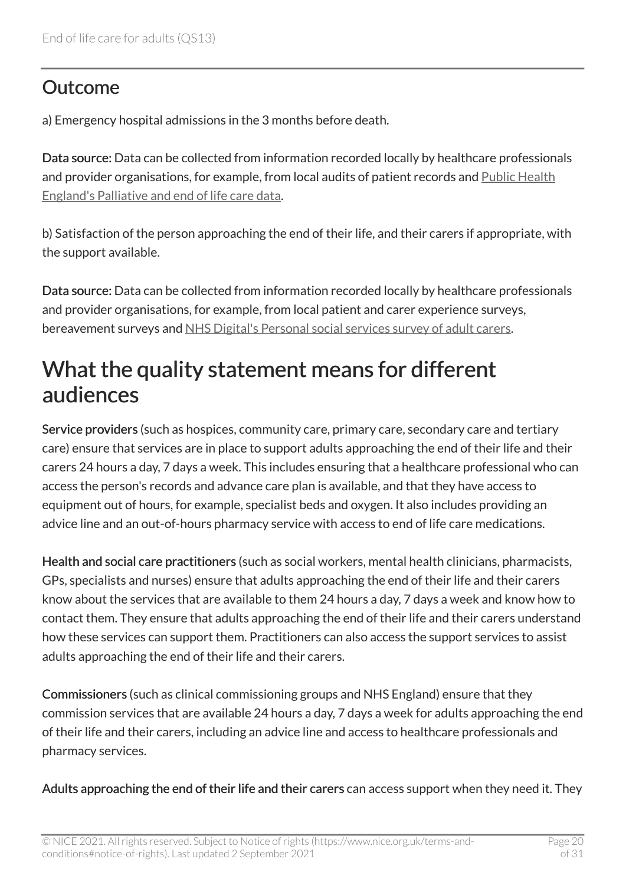#### **Outcome**

a) Emergency hospital admissions in the 3 months before death.

Data source: Data can be collected from information recorded locally by healthcare professionals and provider organisations, for example, from local audits of patient records and [Public Health](https://www.gov.uk/government/collections/palliative-and-end-of-life-care) [England's Palliative and end of life care data](https://www.gov.uk/government/collections/palliative-and-end-of-life-care).

b) Satisfaction of the person approaching the end of their life, and their carers if appropriate, with the support available.

Data source: Data can be collected from information recorded locally by healthcare professionals and provider organisations, for example, from local patient and carer experience surveys, bereavement surveys and [NHS Digital's Personal social services survey of adult carers](https://digital.nhs.uk/data-and-information/publications/statistical/personal-social-services-survey-of-adult-carers).

#### <span id="page-19-0"></span>What the quality statement means for different audiences

Service providers (such as hospices, community care, primary care, secondary care and tertiary care) ensure that services are in place to support adults approaching the end of their life and their carers 24 hours a day, 7 days a week. This includes ensuring that a healthcare professional who can access the person's records and advance care plan is available, and that they have access to equipment out of hours, for example, specialist beds and oxygen. It also includes providing an advice line and an out-of-hours pharmacy service with access to end of life care medications.

Health and social care practitioners (such as social workers, mental health clinicians, pharmacists, GPs, specialists and nurses) ensure that adults approaching the end of their life and their carers know about the services that are available to them 24 hours a day, 7 days a week and know how to contact them. They ensure that adults approaching the end of their life and their carers understand how these services can support them. Practitioners can also access the support services to assist adults approaching the end of their life and their carers.

Commissioners (such as clinical commissioning groups and NHS England) ensure that they commission services that are available 24 hours a day, 7 days a week for adults approaching the end of their life and their carers, including an advice line and access to healthcare professionals and pharmacy services.

Adults approaching the end of their life and their carers can access support when they need it. They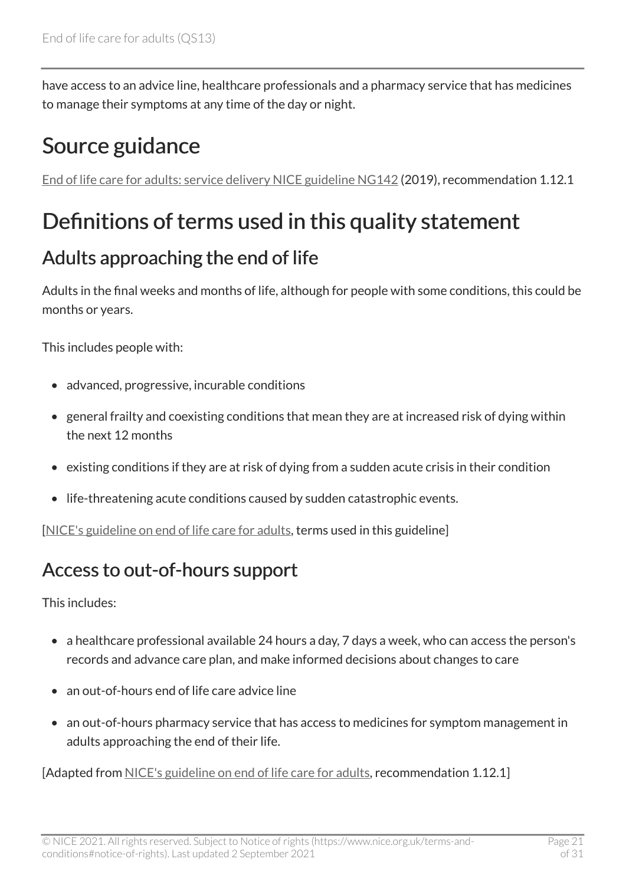have access to an advice line, healthcare professionals and a pharmacy service that has medicines to manage their symptoms at any time of the day or night.

### <span id="page-20-0"></span>Source guidance

[End of life care for adults: service delivery NICE guideline NG142](https://www.nice.org.uk/guidance/ng142) (2019), recommendation 1.12.1

### <span id="page-20-1"></span>Definitions of terms used in this quality statement

#### Adults approaching the end of life

Adults in the final weeks and months of life, although for people with some conditions, this could be months or years.

This includes people with:

- advanced, progressive, incurable conditions
- general frailty and coexisting conditions that mean they are at increased risk of dying within the next 12 months
- existing conditions if they are at risk of dying from a sudden acute crisis in their condition
- life-threatening acute conditions caused by sudden catastrophic events.

[[NICE's guideline on end of life care for adults,](https://www.nice.org.uk/guidance/ng142) terms used in this guideline]

#### Access to out-of-hours support

This includes:

- a healthcare professional available 24 hours a day, 7 days a week, who can access the person's records and advance care plan, and make informed decisions about changes to care
- an out-of-hours end of life care advice line
- an out-of-hours pharmacy service that has access to medicines for symptom management in adults approaching the end of their life.

[Adapted from [NICE's guideline on end of life care for adults,](https://www.nice.org.uk/guidance/ng142) recommendation 1.12.1]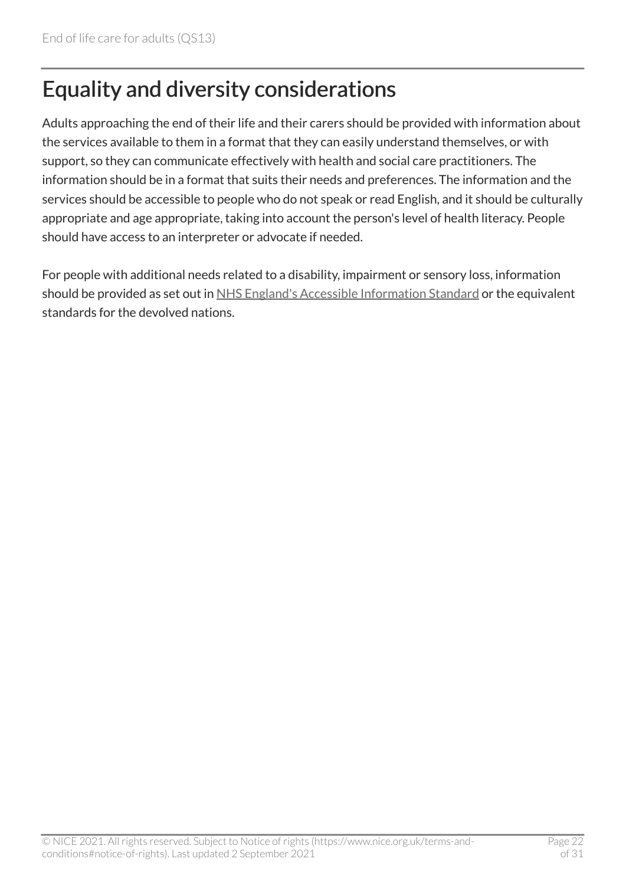### <span id="page-21-0"></span>Equality and diversity considerations

Adults approaching the end of their life and their carers should be provided with information about the services available to them in a format that they can easily understand themselves, or with support, so they can communicate effectively with health and social care practitioners. The information should be in a format that suits their needs and preferences. The information and the services should be accessible to people who do not speak or read English, and it should be culturally appropriate and age appropriate, taking into account the person's level of health literacy. People should have access to an interpreter or advocate if needed.

For people with additional needs related to a disability, impairment or sensory loss, information should be provided as set out in [NHS England's Accessible Information Standard](https://www.england.nhs.uk/ourwork/accessibleinfo/) or the equivalent standards for the devolved nations.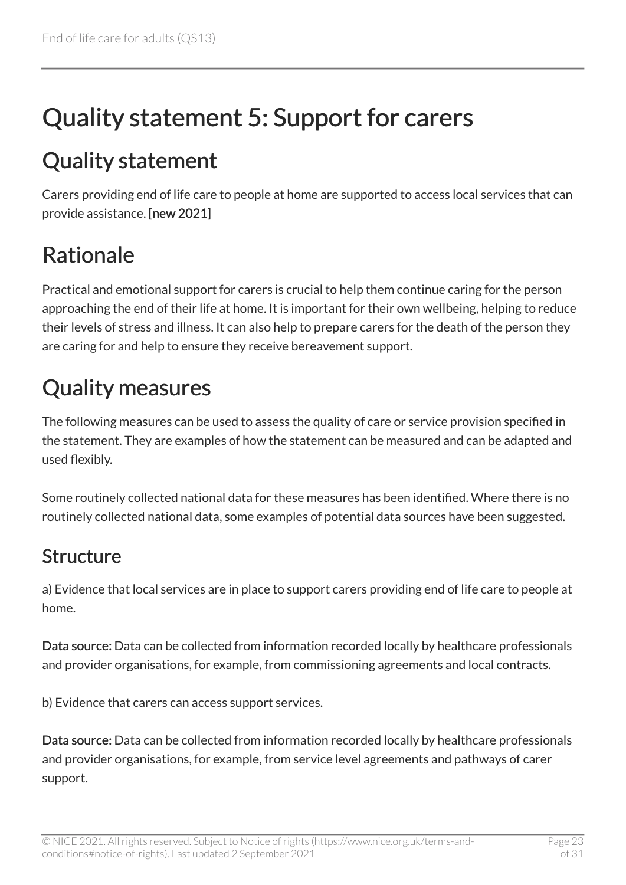# <span id="page-22-0"></span>Quality statement 5: Support for carers

### <span id="page-22-1"></span>Quality statement

Carers providing end of life care to people at home are supported to access local services that can provide assistance. [new 2021]

### <span id="page-22-2"></span>Rationale

Practical and emotional support for carers is crucial to help them continue caring for the person approaching the end of their life at home. It is important for their own wellbeing, helping to reduce their levels of stress and illness. It can also help to prepare carers for the death of the person they are caring for and help to ensure they receive bereavement support.

### <span id="page-22-3"></span>Quality measures

The following measures can be used to assess the quality of care or service provision specified in the statement. They are examples of how the statement can be measured and can be adapted and used flexibly.

Some routinely collected national data for these measures has been identified. Where there is no routinely collected national data, some examples of potential data sources have been suggested.

#### Structure

a) Evidence that local services are in place to support carers providing end of life care to people at home.

Data source: Data can be collected from information recorded locally by healthcare professionals and provider organisations, for example, from commissioning agreements and local contracts.

b) Evidence that carers can access support services.

Data source: Data can be collected from information recorded locally by healthcare professionals and provider organisations, for example, from service level agreements and pathways of carer support.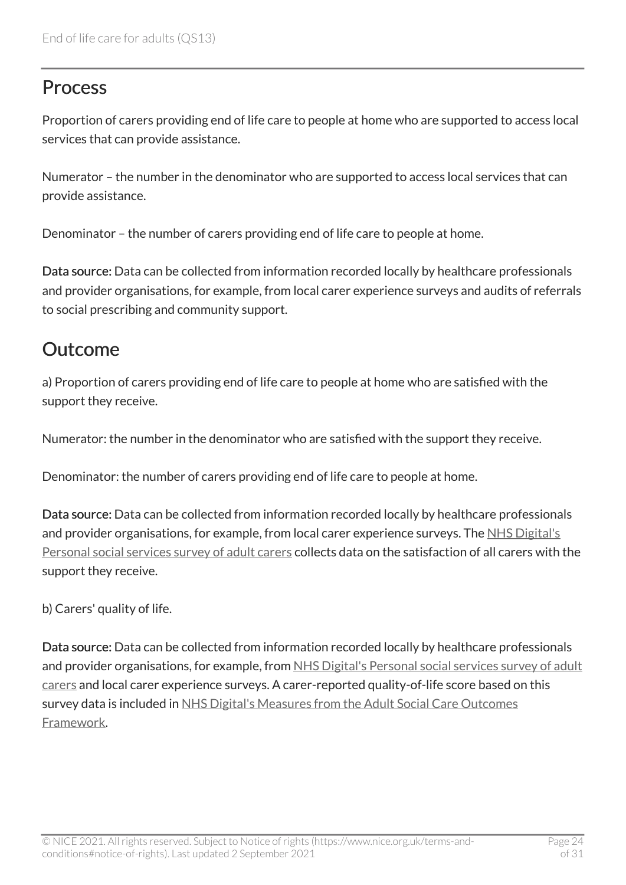#### **Process**

Proportion of carers providing end of life care to people at home who are supported to access local services that can provide assistance.

Numerator – the number in the denominator who are supported to access local services that can provide assistance.

Denominator – the number of carers providing end of life care to people at home.

Data source: Data can be collected from information recorded locally by healthcare professionals and provider organisations, for example, from local carer experience surveys and audits of referrals to social prescribing and community support.

#### Outcome

a) Proportion of carers providing end of life care to people at home who are satisfied with the support they receive.

Numerator: the number in the denominator who are satisfied with the support they receive.

Denominator: the number of carers providing end of life care to people at home.

Data source: Data can be collected from information recorded locally by healthcare professionals and provider organisations, for example, from local carer experience surveys. The [NHS Digital's](https://digital.nhs.uk/data-and-information/publications/statistical/personal-social-services-survey-of-adult-carers) [Personal social services survey of adult carers](https://digital.nhs.uk/data-and-information/publications/statistical/personal-social-services-survey-of-adult-carers) collects data on the satisfaction of all carers with the support they receive.

b) Carers' quality of life.

Data source: Data can be collected from information recorded locally by healthcare professionals and provider organisations, for example, from NHS Digital's Personal social services survey of adult [carers](https://digital.nhs.uk/data-and-information/publications/statistical/personal-social-services-survey-of-adult-carers) and local carer experience surveys. A carer-reported quality-of-life score based on this survey data is included in NHS Digital's Measures from the Adult Social Care Outcomes [Framework](https://digital.nhs.uk/data-and-information/publications/statistical/adult-social-care-outcomes-framework-ascof).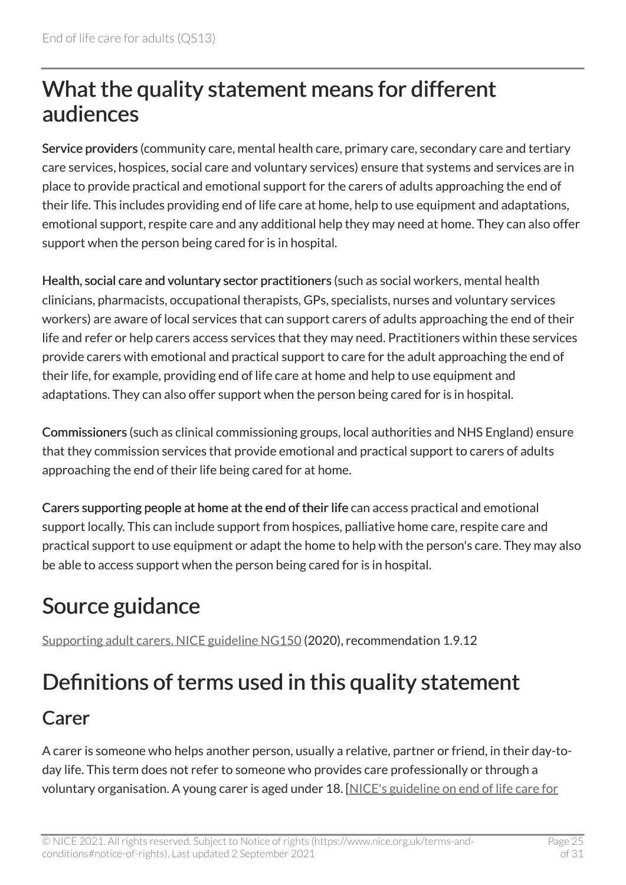### <span id="page-24-0"></span>What the quality statement means for different audiences

Service providers (community care, mental health care, primary care, secondary care and tertiary care services, hospices, social care and voluntary services) ensure that systems and services are in place to provide practical and emotional support for the carers of adults approaching the end of their life. This includes providing end of life care at home, help to use equipment and adaptations, emotional support, respite care and any additional help they may need at home. They can also offer support when the person being cared for is in hospital.

Health, social care and voluntary sector practitioners (such as social workers, mental health clinicians, pharmacists, occupational therapists, GPs, specialists, nurses and voluntary services workers) are aware of local services that can support carers of adults approaching the end of their life and refer or help carers access services that they may need. Practitioners within these services provide carers with emotional and practical support to care for the adult approaching the end of their life, for example, providing end of life care at home and help to use equipment and adaptations. They can also offer support when the person being cared for is in hospital.

Commissioners (such as clinical commissioning groups, local authorities and NHS England) ensure that they commission services that provide emotional and practical support to carers of adults approaching the end of their life being cared for at home.

Carers supporting people at home at the end of their life can access practical and emotional support locally. This can include support from hospices, palliative home care, respite care and practical support to use equipment or adapt the home to help with the person's care. They may also be able to access support when the person being cared for is in hospital.

### <span id="page-24-1"></span>Source guidance

[Supporting adult carers. NICE guideline NG150](https://www.nice.org.uk/guidance/ng150) (2020), recommendation 1.9.12

### <span id="page-24-2"></span>Definitions of terms used in this quality statement

#### Carer

A carer is someone who helps another person, usually a relative, partner or friend, in their day-today life. This term does not refer to someone who provides care professionally or through a voluntary organisation. A young carer is aged under 18. [\[NICE's guideline on end of life care for](https://www.nice.org.uk/guidance/ng142)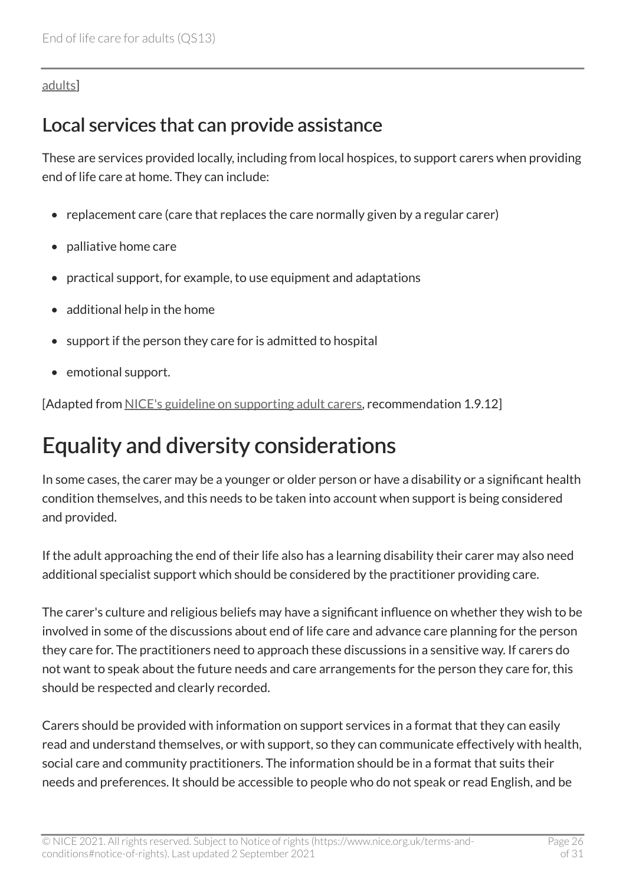#### [adults](https://www.nice.org.uk/guidance/ng142)]

#### Local services that can provide assistance

These are services provided locally, including from local hospices, to support carers when providing end of life care at home. They can include:

- replacement care (care that replaces the care normally given by a regular carer)
- palliative home care
- practical support, for example, to use equipment and adaptations
- additional help in the home
- support if the person they care for is admitted to hospital
- emotional support.

[Adapted from [NICE's guideline on supporting adult carers](https://www.nice.org.uk/guidance/ng150), recommendation 1.9.12]

### <span id="page-25-0"></span>Equality and diversity considerations

In some cases, the carer may be a younger or older person or have a disability or a significant health condition themselves, and this needs to be taken into account when support is being considered and provided.

If the adult approaching the end of their life also has a learning disability their carer may also need additional specialist support which should be considered by the practitioner providing care.

The carer's culture and religious beliefs may have a significant influence on whether they wish to be involved in some of the discussions about end of life care and advance care planning for the person they care for. The practitioners need to approach these discussions in a sensitive way. If carers do not want to speak about the future needs and care arrangements for the person they care for, this should be respected and clearly recorded.

Carers should be provided with information on support services in a format that they can easily read and understand themselves, or with support, so they can communicate effectively with health, social care and community practitioners. The information should be in a format that suits their needs and preferences. It should be accessible to people who do not speak or read English, and be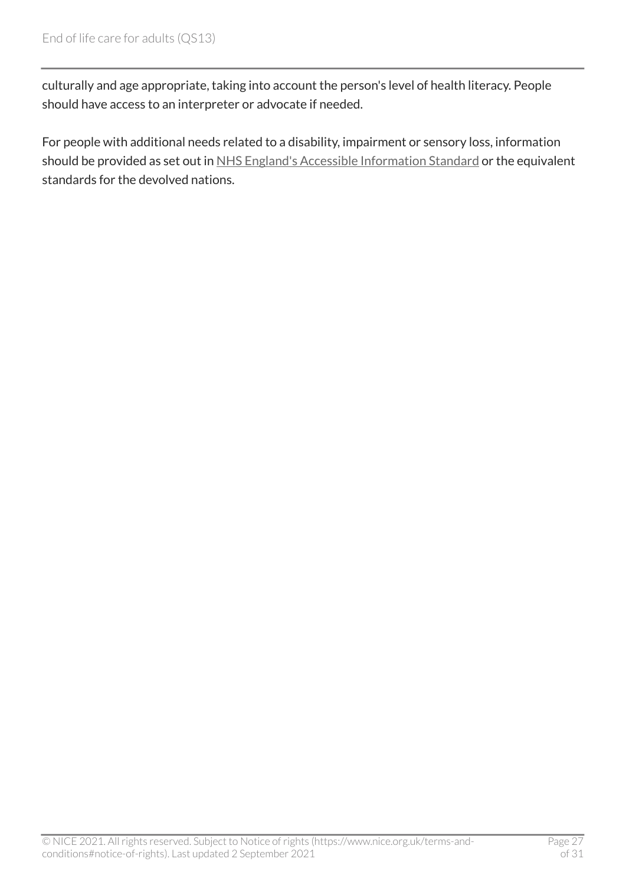culturally and age appropriate, taking into account the person's level of health literacy. People should have access to an interpreter or advocate if needed.

For people with additional needs related to a disability, impairment or sensory loss, information should be provided as set out in [NHS England's Accessible Information Standard](https://www.england.nhs.uk/ourwork/accessibleinfo/) or the equivalent standards for the devolved nations.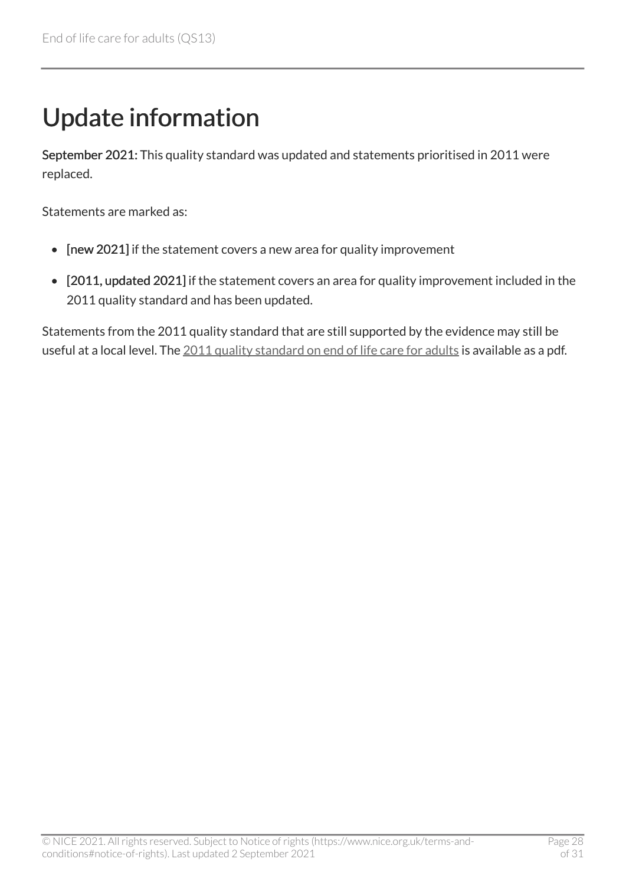# <span id="page-27-0"></span>Update information

September 2021: This quality standard was updated and statements prioritised in 2011 were replaced.

Statements are marked as:

- [new 2021] if the statement covers a new area for quality improvement
- [2011, updated 2021] if the statement covers an area for quality improvement included in the 2011 quality standard and has been updated.

Statements from the 2011 quality standard that are still supported by the evidence may still be useful at a local level. The [2011 quality standard on end of life care for adults](http://www.nice.org.uk/guidance/qs13/documents) is available as a pdf.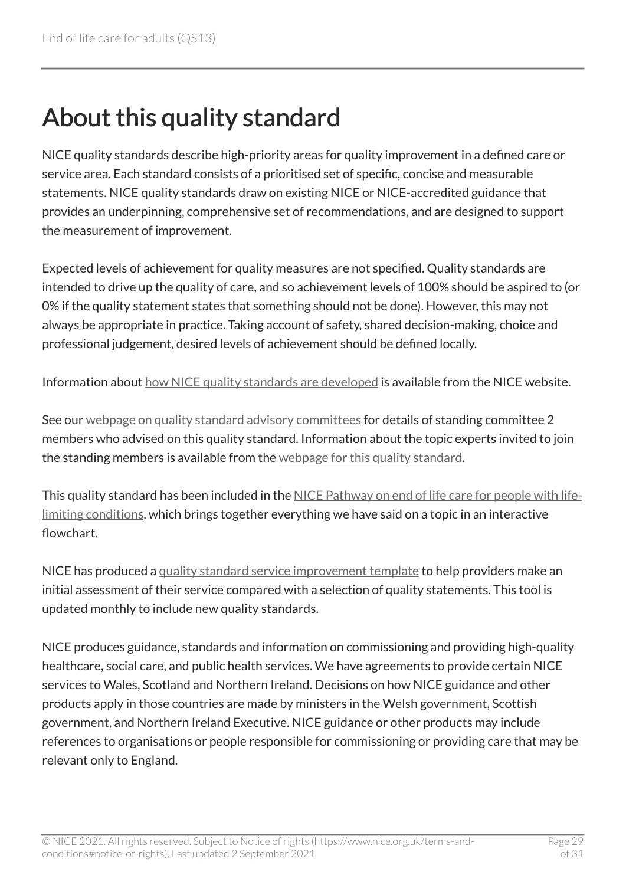# <span id="page-28-0"></span>About this quality standard

NICE quality standards describe high-priority areas for quality improvement in a defined care or service area. Each standard consists of a prioritised set of specific, concise and measurable statements. NICE quality standards draw on existing NICE or NICE-accredited guidance that provides an underpinning, comprehensive set of recommendations, and are designed to support the measurement of improvement.

Expected levels of achievement for quality measures are not specified. Quality standards are intended to drive up the quality of care, and so achievement levels of 100% should be aspired to (or 0% if the quality statement states that something should not be done). However, this may not always be appropriate in practice. Taking account of safety, shared decision-making, choice and professional judgement, desired levels of achievement should be defined locally.

Information about [how NICE quality standards are developed](https://www.nice.org.uk/standards-and-indicators/timeline-developing-quality-standards) is available from the NICE website.

See our [webpage on quality standard advisory committees](http://www.nice.org.uk/Get-Involved/Meetings-in-public/Quality-Standards-Advisory-Committee) for details of standing committee 2 members who advised on this quality standard. Information about the topic experts invited to join the standing members is available from the [webpage for this quality standard.](https://www.nice.org.uk/guidance/qs13/documents)

This quality standard has been included in the [NICE Pathway on end of life care for people with life](https://pathways.nice.org.uk/pathways/end-of-life-care-for-people-with-life-limiting-conditions)[limiting conditions,](https://pathways.nice.org.uk/pathways/end-of-life-care-for-people-with-life-limiting-conditions) which brings together everything we have said on a topic in an interactive flowchart.

NICE has produced a [quality standard service improvement template](https://www.nice.org.uk/about/what-we-do/into-practice/measuring-the-uptake-of-nice-guidance) to help providers make an initial assessment of their service compared with a selection of quality statements. This tool is updated monthly to include new quality standards.

NICE produces guidance, standards and information on commissioning and providing high-quality healthcare, social care, and public health services. We have agreements to provide certain NICE services to Wales, Scotland and Northern Ireland. Decisions on how NICE guidance and other products apply in those countries are made by ministers in the Welsh government, Scottish government, and Northern Ireland Executive. NICE guidance or other products may include references to organisations or people responsible for commissioning or providing care that may be relevant only to England.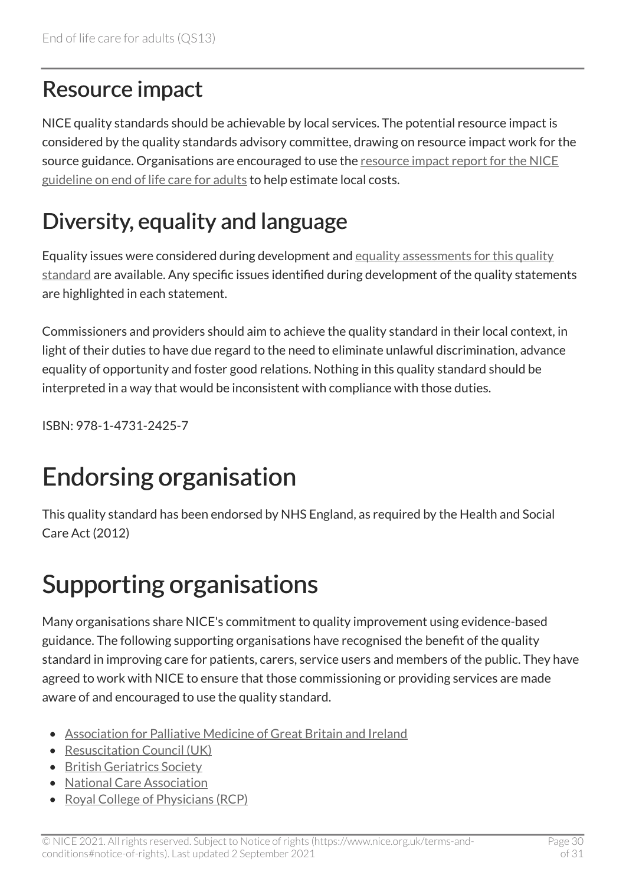### <span id="page-29-0"></span>Resource impact

NICE quality standards should be achievable by local services. The potential resource impact is considered by the quality standards advisory committee, drawing on resource impact work for the source guidance. Organisations are encouraged to use the [resource impact report for the NICE](https://www.nice.org.uk/guidance/ng142/resources) [guideline on end of life care for adults](https://www.nice.org.uk/guidance/ng142/resources) to help estimate local costs.

### <span id="page-29-1"></span>Diversity, equality and language

Equality issues were considered during development and [equality assessments for this quality](https://www.nice.org.uk/guidance/qs13/documents)  [standard](https://www.nice.org.uk/guidance/qs13/documents) are available. Any specific issues identified during development of the quality statements are highlighted in each statement.

Commissioners and providers should aim to achieve the quality standard in their local context, in light of their duties to have due regard to the need to eliminate unlawful discrimination, advance equality of opportunity and foster good relations. Nothing in this quality standard should be interpreted in a way that would be inconsistent with compliance with those duties.

ISBN: 978-1-4731-2425-7

# Endorsing organisation

This quality standard has been endorsed by NHS England, as required by the Health and Social Care Act (2012)

# Supporting organisations

Many organisations share NICE's commitment to quality improvement using evidence-based guidance. The following supporting organisations have recognised the benefit of the quality standard in improving care for patients, carers, service users and members of the public. They have agreed to work with NICE to ensure that those commissioning or providing services are made aware of and encouraged to use the quality standard.

- [Association for Palliative Medicine of Great Britain and Ireland](https://apmonline.org/)
- Resuscitation Council (UK)
- [British Geriatrics Society](http://www.bgs.org.uk/)
- [National Care Association](https://nationalcareassociation.org.uk/)
- [Royal College of Physicians \(RCP\)](https://www.rcplondon.ac.uk/)